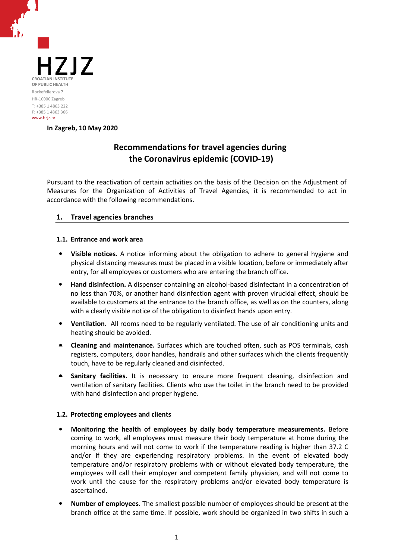

**In Zagreb, 10 May 2020**

# **Recommendations for travel agencies during the Coronavirus epidemic (COVID-19)**

Pursuant to the reactivation of certain activities on the basis of the Decision on the Adjustment of Measures for the Organization of Activities of Travel Agencies, it is recommended to act in accordance with the following recommendations.

## **1. Travel agencies branches**

## **1.1. Entrance and work area**

- **Visible notices.** A notice informing about the obligation to adhere to general hygiene and physical distancing measures must be placed in a visible location, before or immediately after entry, for all employees or customers who are entering the branch office.
- **Hand disinfection.** A dispenser containing an alcohol-based disinfectant in a concentration of no less than 70%, or another hand disinfection agent with proven virucidal effect, should be available to customers at the entrance to the branch office, as well as on the counters, along with a clearly visible notice of the obligation to disinfect hands upon entry.
- **Ventilation.** All rooms need to be regularly ventilated. The use of air conditioning units and heating should be avoided.
- **Cleaning and maintenance.** Surfaces which are touched often, such as POS terminals, cash registers, computers, door handles, handrails and other surfaces which the clients frequently touch, have to be regularly cleaned and disinfected.
- **Sanitary facilities.** It is necessary to ensure more frequent cleaning, disinfection and ventilation of sanitary facilities. Clients who use the toilet in the branch need to be provided with hand disinfection and proper hygiene.

## **1.2. Protecting employees and clients**

- **Monitoring the health of employees by daily body temperature measurements.** Before coming to work, all employees must measure their body temperature at home during the morning hours and will not come to work if the temperature reading is higher than 37.2 C and/or if they are experiencing respiratory problems. In the event of elevated body temperature and/or respiratory problems with or without elevated body temperature, the employees will call their employer and competent family physician, and will not come to work until the cause for the respiratory problems and/or elevated body temperature is ascertained.
- **Number of employees.** The smallest possible number of employees should be present at the branch office at the same time. If possible, work should be organized in two shifts in such a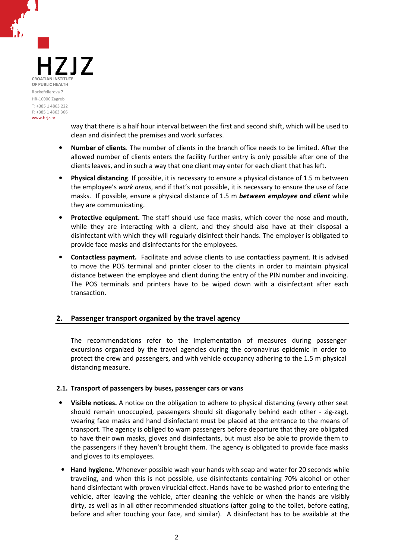717 **CROATIAN INSTITUTE OF PUBLIC HEALTH** Rockefellerova 7 HR-10000 Zagreb T: +385 1 4863 222 F: +385 1 4863 366 www.hzjz.hr

way that there is a half hour interval between the first and second shift, which will be used to clean and disinfect the premises and work surfaces.

- **Number of clients**. The number of clients in the branch office needs to be limited. After the allowed number of clients enters the facility further entry is only possible after one of the clients leaves, and in such a way that one client may enter for each client that has left.
- **Physical distancing**. If possible, it is necessary to ensure a physical distance of 1.5 m between the employee's *work areas*, and if that's not possible, it is necessary to ensure the use of face masks. If possible, ensure a physical distance of 1.5 m *between employee and client* while they are communicating.
- **Protective equipment.** The staff should use face masks, which cover the nose and mouth, while they are interacting with a client, and they should also have at their disposal a disinfectant with which they will regularly disinfect their hands. The employer is obligated to provide face masks and disinfectants for the employees.
- **Contactless payment.** Facilitate and advise clients to use contactless payment. It is advised to move the POS terminal and printer closer to the clients in order to maintain physical distance between the employee and client during the entry of the PIN number and invoicing. The POS terminals and printers have to be wiped down with a disinfectant after each transaction.

## **2. Passenger transport organized by the travel agency**

The recommendations refer to the implementation of measures during passenger excursions organized by the travel agencies during the coronavirus epidemic in order to protect the crew and passengers, and with vehicle occupancy adhering to the 1.5 m physical distancing measure.

## **2.1. Transport of passengers by buses, passenger cars or vans**

- **Visible notices.** A notice on the obligation to adhere to physical distancing (every other seat should remain unoccupied, passengers should sit diagonally behind each other - zig-zag), wearing face masks and hand disinfectant must be placed at the entrance to the means of transport. The agency is obliged to warn passengers before departure that they are obligated to have their own masks, gloves and disinfectants, but must also be able to provide them to the passengers if they haven't brought them. The agency is obligated to provide face masks and gloves to its employees.
- **Hand hygiene.** Whenever possible wash your hands with soap and water for 20 seconds while traveling, and when this is not possible, use disinfectants containing 70% alcohol or other hand disinfectant with proven virucidal effect. Hands have to be washed prior to entering the vehicle, after leaving the vehicle, after cleaning the vehicle or when the hands are visibly dirty, as well as in all other recommended situations (after going to the toilet, before eating, before and after touching your face, and similar). A disinfectant has to be available at the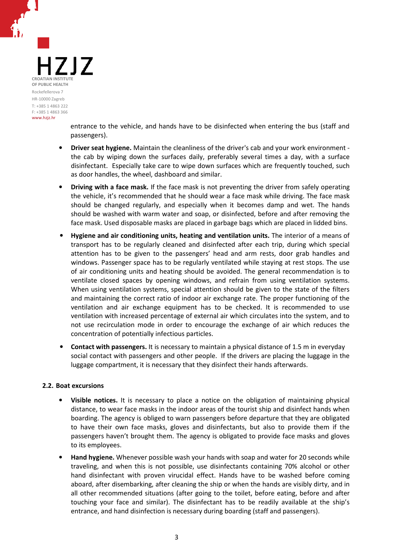77 **CROATIAN INSTITUT OF PUBLIC HEALTH** Rockefellerova 7 HR-10000 Zagreb T: +385 1 4863 222 F: +385 1 4863 366 www.hzjz.hr

entrance to the vehicle, and hands have to be disinfected when entering the bus (staff and passengers).

- **Driver seat hygiene.** Maintain the cleanliness of the driver's cab and your work environment the cab by wiping down the surfaces daily, preferably several times a day, with a surface disinfectant. Especially take care to wipe down surfaces which are frequently touched, such as door handles, the wheel, dashboard and similar.
- **Driving with a face mask.** If the face mask is not preventing the driver from safely operating the vehicle, it's recommended that he should wear a face mask while driving. The face mask should be changed regularly, and especially when it becomes damp and wet. The hands should be washed with warm water and soap, or disinfected, before and after removing the face mask. Used disposable masks are placed in garbage bags which are placed in lidded bins.
- **Hygiene and air conditioning units, heating and ventilation units.** The interior of a means of transport has to be regularly cleaned and disinfected after each trip, during which special attention has to be given to the passengers' head and arm rests, door grab handles and windows. Passenger space has to be regularly ventilated while staying at rest stops. The use of air conditioning units and heating should be avoided. The general recommendation is to ventilate closed spaces by opening windows, and refrain from using ventilation systems. When using ventilation systems, special attention should be given to the state of the filters and maintaining the correct ratio of indoor air exchange rate. The proper functioning of the ventilation and air exchange equipment has to be checked. It is recommended to use ventilation with increased percentage of external air which circulates into the system, and to not use recirculation mode in order to encourage the exchange of air which reduces the concentration of potentially infectious particles.
- **Contact with passengers.** It is necessary to maintain a physical distance of 1.5 m in everyday social contact with passengers and other people. If the drivers are placing the luggage in the luggage compartment, it is necessary that they disinfect their hands afterwards.

## **2.2. Boat excursions**

- **Visible notices.** It is necessary to place a notice on the obligation of maintaining physical distance, to wear face masks in the indoor areas of the tourist ship and disinfect hands when boarding. The agency is obliged to warn passengers before departure that they are obligated to have their own face masks, gloves and disinfectants, but also to provide them if the passengers haven't brought them. The agency is obligated to provide face masks and gloves to its employees.
- **Hand hygiene.** Whenever possible wash your hands with soap and water for 20 seconds while traveling, and when this is not possible, use disinfectants containing 70% alcohol or other hand disinfectant with proven virucidal effect. Hands have to be washed before coming aboard, after disembarking, after cleaning the ship or when the hands are visibly dirty, and in all other recommended situations (after going to the toilet, before eating, before and after touching your face and similar). The disinfectant has to be readily available at the ship's entrance, and hand disinfection is necessary during boarding (staff and passengers).